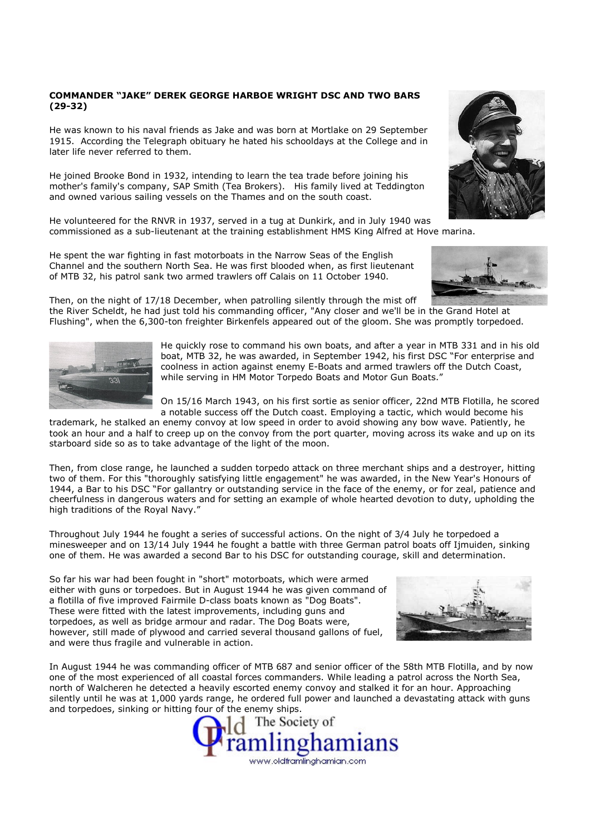## COMMANDER "JAKE" DEREK GEORGE HARBOE WRIGHT DSC AND TWO BARS (29-32)

He was known to his naval friends as Jake and was born at Mortlake on 29 September 1915. According the Telegraph obituary he hated his schooldays at the College and in later life never referred to them.

He joined Brooke Bond in 1932, intending to learn the tea trade before joining his mother's family's company, SAP Smith (Tea Brokers). His family lived at Teddington and owned various sailing vessels on the Thames and on the south coast.

He volunteered for the RNVR in 1937, served in a tug at Dunkirk, and in July 1940 was commissioned as a sub-lieutenant at the training establishment HMS King Alfred at Hove marina.

He spent the war fighting in fast motorboats in the Narrow Seas of the English Channel and the southern North Sea. He was first blooded when, as first lieutenant of MTB 32, his patrol sank two armed trawlers off Calais on 11 October 1940.

Then, on the night of 17/18 December, when patrolling silently through the mist off the River Scheldt, he had just told his commanding officer, "Any closer and we'll be in the Grand Hotel at Flushing", when the 6,300-ton freighter Birkenfels appeared out of the gloom. She was promptly torpedoed.

> He quickly rose to command his own boats, and after a year in MTB 331 and in his old boat, MTB 32, he was awarded, in September 1942, his first DSC "For enterprise and coolness in action against enemy E-Boats and armed trawlers off the Dutch Coast, while serving in HM Motor Torpedo Boats and Motor Gun Boats."

> On 15/16 March 1943, on his first sortie as senior officer, 22nd MTB Flotilla, he scored a notable success off the Dutch coast. Employing a tactic, which would become his

trademark, he stalked an enemy convoy at low speed in order to avoid showing any bow wave. Patiently, he took an hour and a half to creep up on the convoy from the port quarter, moving across its wake and up on its starboard side so as to take advantage of the light of the moon.

Then, from close range, he launched a sudden torpedo attack on three merchant ships and a destroyer, hitting two of them. For this "thoroughly satisfying little engagement" he was awarded, in the New Year's Honours of 1944, a Bar to his DSC "For gallantry or outstanding service in the face of the enemy, or for zeal, patience and cheerfulness in dangerous waters and for setting an example of whole hearted devotion to duty, upholding the high traditions of the Royal Navy."

Throughout July 1944 he fought a series of successful actions. On the night of 3/4 July he torpedoed a minesweeper and on 13/14 July 1944 he fought a battle with three German patrol boats off Ijmuiden, sinking one of them. He was awarded a second Bar to his DSC for outstanding courage, skill and determination.

So far his war had been fought in "short" motorboats, which were armed either with guns or torpedoes. But in August 1944 he was given command of a flotilla of five improved Fairmile D-class boats known as "Dog Boats". These were fitted with the latest improvements, including guns and torpedoes, as well as bridge armour and radar. The Dog Boats were, however, still made of plywood and carried several thousand gallons of fuel, and were thus fragile and vulnerable in action.

In August 1944 he was commanding officer of MTB 687 and senior officer of the 58th MTB Flotilla, and by now one of the most experienced of all coastal forces commanders. While leading a patrol across the North Sea, north of Walcheren he detected a heavily escorted enemy convoy and stalked it for an hour. Approaching silently until he was at 1,000 yards range, he ordered full power and launched a devastating attack with guns and torpedoes, sinking or hitting four of the enemy ships.